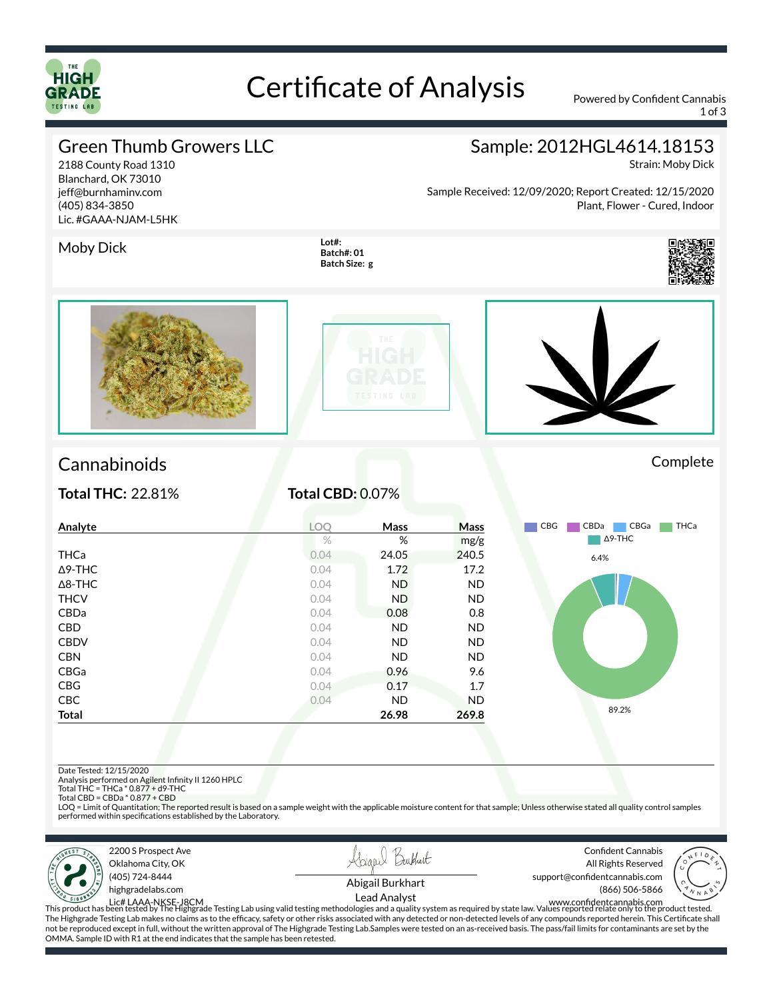

## Certificate of Analysis Powered by Confident Cannabis

1 of 3

#### Green Thumb Growers LLC

2188 County Road 1310 Blanchard, OK 73010 jeff@burnhaminv.com (405) 834-3850 Lic. #GAAA-NJAM-L5HK

### Sample: 2012HGL4614.18153

Strain: Moby Dick

Sample Received: 12/09/2020; Report Created: 12/15/2020 Plant, Flower - Cured, Indoor

#### Moby Dick **Loth**

**Batch#: 01 Batch Size: g**









### Cannabinoids Complete

**Total THC:** 22.81% **Total CBD:** 0.07%

| Analyte        | LOQ  | Mass  | Mass      | THCa<br><b>CBG</b><br>CBDa<br>CBGa |
|----------------|------|-------|-----------|------------------------------------|
|                | $\%$ | %     | mg/g      | $\Delta$ 9-THC                     |
| THCa           | 0.04 | 24.05 | 240.5     | 6.4%                               |
| $\Delta$ 9-THC | 0.04 | 1.72  | 17.2      |                                    |
| $\Delta$ 8-THC | 0.04 | ND.   | <b>ND</b> |                                    |
| <b>THCV</b>    | 0.04 | ND.   | <b>ND</b> |                                    |
| CBDa           | 0.04 | 0.08  | 0.8       |                                    |
| CBD            | 0.04 | ND.   | <b>ND</b> |                                    |
| <b>CBDV</b>    | 0.04 | ND.   | <b>ND</b> |                                    |
| <b>CBN</b>     | 0.04 | ND.   | <b>ND</b> |                                    |
| CBGa           | 0.04 | 0.96  | 9.6       |                                    |
| <b>CBG</b>     | 0.04 | 0.17  | 1.7       |                                    |
| CBC            | 0.04 | ND.   | <b>ND</b> |                                    |
| <b>Total</b>   |      | 26.98 | 269.8     | 89.2%                              |

Date Tested: 12/15/2020

Analysis performed on Agilent Infinity II 1260 HPLC<br>Total THC = THCa \* 0.877 + d9-THC<br>Total CBD = CBDa \* 0.877 + CBD

LOQ = Limit of Quantitation; The reported result is based on a sample weight with the applicable moisture content for that sample; Unless otherwise stated all quality control samples performed within specifications established by the Laboratory.







Confident Cannabis All Rights Reserved support@confidentcannabis.com



Abigail Burkhart

Lead Analyst

(866) 506-5866

Lic# LAAA-NKSE-J8CM<br>This product has been tested by The Highgrade Testing Lab using valid testing methodologies and a quality system as required by state law. Values reported relate only to the product tested. The Highgrade Testing Lab makes no claims as to the efficacy, safety or other risks associated with any detected or non-detected levels of any compounds reported herein. This Certificate shall not be reproduced except in full, without the written approval of The Highgrade Testing Lab.Samples were tested on an as-received basis. The pass/fail limits for contaminants are set by the OMMA. Sample ID with R1 at the end indicates that the sample has been retested.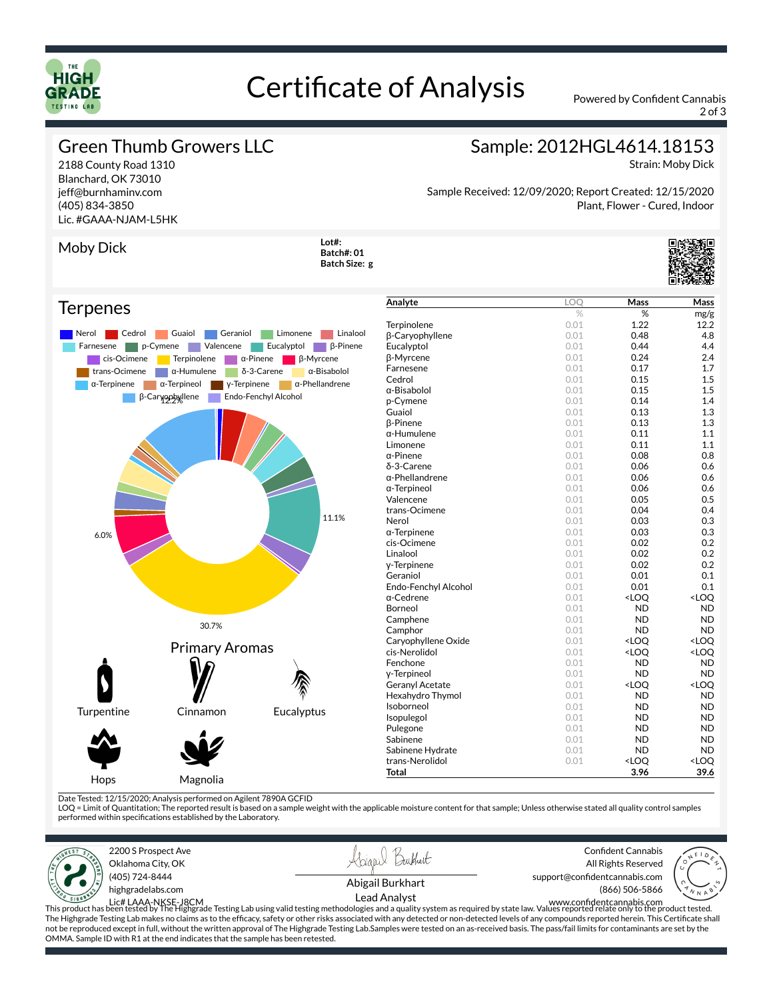

## Certificate of Analysis Powered by Confident Cannabis

2 of 3

Plant, Flower - Cured, Indoor

#### Green Thumb Growers LLC

2188 County Road 1310 Blanchard, OK 73010 jeff@burnhaminv.com (405) 834-3850 Lic. #GAAA-NJAM-L5HK Strain: Moby Dick

Sample Received: 12/09/2020; Report Created: 12/15/2020

Sample: 2012HGL4614.18153

Moby Dick **Loth Batch#: 01 Batch Size: g**



#### **Terpenes**



| Analyte                | <b>LOO</b>     | Mass                                            | Mass                |
|------------------------|----------------|-------------------------------------------------|---------------------|
|                        | $\frac{0}{20}$ | %                                               | mg/g                |
| Terpinolene            | 0.01           | 1.22                                            | 12.2                |
| β-Caryophyllene        | 0.01           | 0.48                                            | 4.8                 |
| Eucalyptol             | 0.01           | 0.44                                            | 4.4                 |
| β-Myrcene              | 0.01           | 0.24                                            | 2.4                 |
| Farnesene              | 0.01           | 0.17                                            | 1.7                 |
| Cedrol                 | 0.01           | 0.15                                            | 1.5                 |
| α-Bisabolol            | 0.01           | 0.15                                            | 1.5                 |
| p-Cymene               | 0.01           | 0.14                                            | 1.4                 |
| Guaiol                 | 0.01           | 0.13                                            | 1.3                 |
| <b>B-Pinene</b>        | 0.01           | 0.13                                            | 1.3                 |
| α-Humulene             | 0.01           | 0.11                                            | 1.1                 |
| Limonene               | 0.01           | 0.11                                            | 1.1                 |
| $\alpha$ -Pinene       | 0.01           | 0.08                                            | 0.8                 |
| δ-3-Carene             | 0.01           | 0.06                                            | 0.6                 |
| α-Phellandrene         | 0.01           | 0.06                                            | 0.6                 |
| α-Terpineol            | 0.01           | 0.06                                            | 0.6                 |
| Valencene              | 0.01           | 0.05                                            | 0.5                 |
| trans-Ocimene          | 0.01           | 0.04                                            | 0.4                 |
| Nerol                  | 0.01           | 0.03                                            | 0.3                 |
| $\alpha$ -Terpinene    | 0.01           | 0.03                                            | 0.3                 |
| cis-Ocimene            | 0.01           | 0.02                                            | 0.2                 |
| Linalool               | 0.01           | 0.02                                            | 0.2                 |
| y-Terpinene            | 0.01           | 0.02                                            | 0.2                 |
| Geraniol               | 0.01           | 0.01                                            | 0.1                 |
| Endo-Fenchyl Alcohol   | 0.01           | 0.01                                            | 0.1                 |
| α-Cedrene              | 0.01           | <loo< td=""><td><loq< td=""></loq<></td></loo<> | <loq< td=""></loq<> |
| Borneol                | 0.01           | <b>ND</b>                                       | <b>ND</b>           |
| Camphene               | 0.01           | ND                                              | <b>ND</b>           |
| Camphor                | 0.01           | <b>ND</b>                                       | <b>ND</b>           |
| Caryophyllene Oxide    | 0.01           | <loq< td=""><td><loq< td=""></loq<></td></loq<> | <loq< td=""></loq<> |
| cis-Nerolidol          | 0.01           | <loq< td=""><td><loq< td=""></loq<></td></loq<> | <loq< td=""></loq<> |
| Fenchone               | 0.01           | <b>ND</b>                                       | <b>ND</b>           |
| y-Terpineol            | 0.01           | <b>ND</b>                                       | <b>ND</b>           |
| <b>Geranyl Acetate</b> | 0.01           | <loq< td=""><td><loq< td=""></loq<></td></loq<> | <loq< td=""></loq<> |
| Hexahydro Thymol       | 0.01           | <b>ND</b>                                       | <b>ND</b>           |
| Isoborneol             | 0.01           | <b>ND</b>                                       | <b>ND</b>           |
| Isopulegol             | 0.01           | <b>ND</b>                                       | <b>ND</b>           |
| Pulegone               | 0.01           | <b>ND</b>                                       | <b>ND</b>           |
| Sabinene               | 0.01           | <b>ND</b>                                       | <b>ND</b>           |
| Sabinene Hydrate       | 0.01           | <b>ND</b>                                       | <b>ND</b>           |
| trans-Nerolidol        | 0.01           | <loq< td=""><td><loq< td=""></loq<></td></loq<> | <loq< td=""></loq<> |
| Total                  |                | 3.96                                            | 39.6                |
|                        |                |                                                 |                     |

Date Tested: 12/15/2020; Analysis performed on Agilent 7890A GCFID<br>LOQ = Limit of Quantitation; The reported result is based on a sample weight with the applicable moisture content for that sample; Unless otherwise stated performed within specications established by the Laboratory.







Confident Cannabis All Rights Reserved support@confidentcannabis.com



Abigail Burkhart Lead Analyst

Lic# LAAA-NKSE-J8CM<br>This product has been tested by The Highgrade Testing Lab using valid testing methodologies and a quality system as required by state law. Values reported relate only to the product tested. The Highgrade Testing Lab makes no claims as to the efficacy, safety or other risks associated with any detected or non-detected levels of any compounds reported herein. This Certificate shall not be reproduced except in full, without the written approval of The Highgrade Testing Lab.Samples were tested on an as-received basis. The pass/fail limits for contaminants are set by the OMMA. Sample ID with R1 at the end indicates that the sample has been retested.